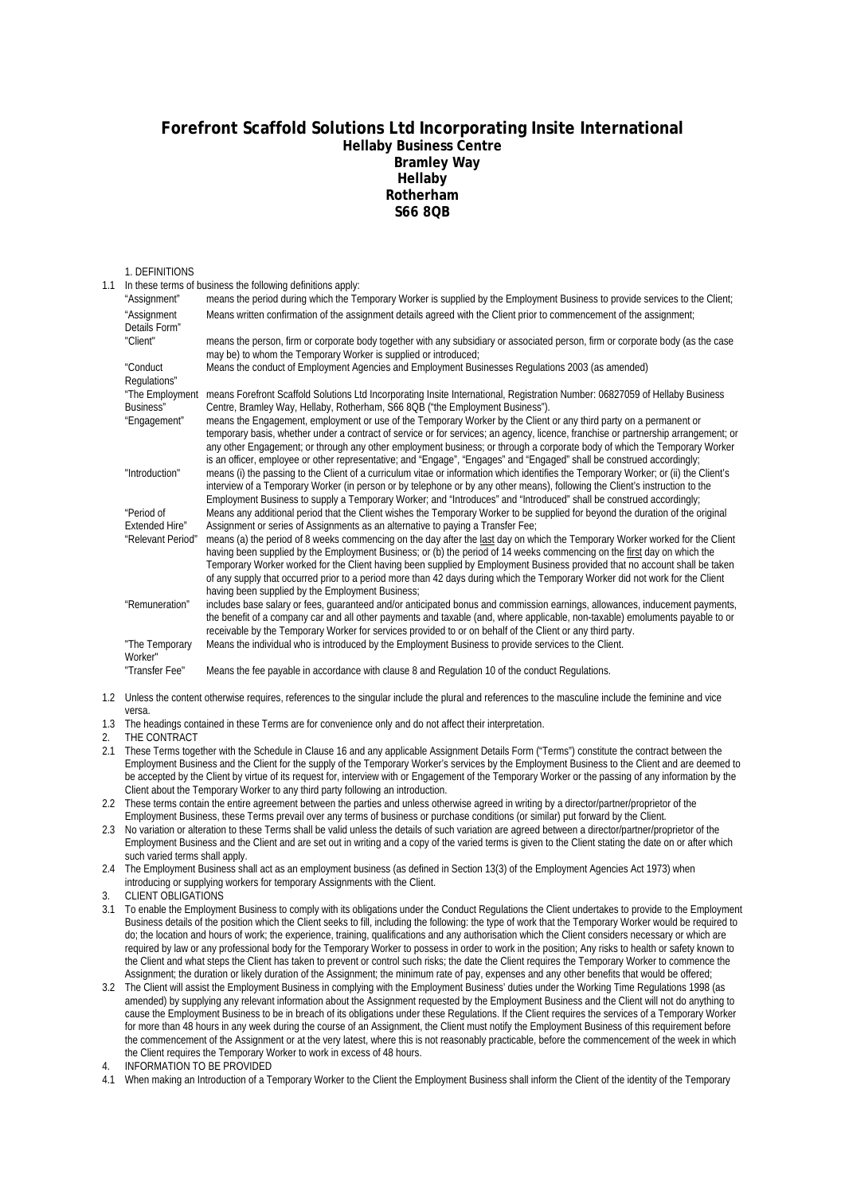## **Forefront Scaffold Solutions Ltd Incorporating Insite International Hellaby Business Centre Bramley Way Hellaby Rotherham S66 8QB**

## 1. DEFINITIONS

| 1.1 |                                     | In these terms of business the following definitions apply:                                                                                                                                                                                                                                                                                                                                                                                                                                                                                                                |
|-----|-------------------------------------|----------------------------------------------------------------------------------------------------------------------------------------------------------------------------------------------------------------------------------------------------------------------------------------------------------------------------------------------------------------------------------------------------------------------------------------------------------------------------------------------------------------------------------------------------------------------------|
|     | "Assignment"                        | means the period during which the Temporary Worker is supplied by the Employment Business to provide services to the Client;                                                                                                                                                                                                                                                                                                                                                                                                                                               |
|     | "Assignment<br>Details Form"        | Means written confirmation of the assignment details agreed with the Client prior to commencement of the assignment;                                                                                                                                                                                                                                                                                                                                                                                                                                                       |
|     | "Client"                            | means the person, firm or corporate body together with any subsidiary or associated person, firm or corporate body (as the case<br>may be) to whom the Temporary Worker is supplied or introduced;                                                                                                                                                                                                                                                                                                                                                                         |
|     | "Conduct<br>Regulations"            | Means the conduct of Employment Agencies and Employment Businesses Regulations 2003 (as amended)                                                                                                                                                                                                                                                                                                                                                                                                                                                                           |
|     | Business"                           | "The Employment means Forefront Scaffold Solutions Ltd Incorporating Insite International, Registration Number: 06827059 of Hellaby Business<br>Centre, Bramley Way, Hellaby, Rotherham, S66 8QB ("the Employment Business").                                                                                                                                                                                                                                                                                                                                              |
|     | "Engagement"                        | means the Engagement, employment or use of the Temporary Worker by the Client or any third party on a permanent or<br>temporary basis, whether under a contract of service or for services; an agency, licence, franchise or partnership arrangement; or<br>any other Engagement; or through any other employment business; or through a corporate body of which the Temporary Worker<br>is an officer, employee or other representative; and "Engage", "Engages" and "Engaged" shall be construed accordingly;                                                            |
|     | "Introduction"                      | means (i) the passing to the Client of a curriculum vitae or information which identifies the Temporary Worker; or (ii) the Client's<br>interview of a Temporary Worker (in person or by telephone or by any other means), following the Client's instruction to the<br>Employment Business to supply a Temporary Worker; and "Introduces" and "Introduced" shall be construed accordingly;                                                                                                                                                                                |
|     | "Period of<br><b>Extended Hire"</b> | Means any additional period that the Client wishes the Temporary Worker to be supplied for beyond the duration of the original<br>Assignment or series of Assignments as an alternative to paying a Transfer Fee;                                                                                                                                                                                                                                                                                                                                                          |
|     | "Relevant Period"                   | means (a) the period of 8 weeks commencing on the day after the last day on which the Temporary Worker worked for the Client<br>having been supplied by the Employment Business; or (b) the period of 14 weeks commencing on the first day on which the<br>Temporary Worker worked for the Client having been supplied by Employment Business provided that no account shall be taken<br>of any supply that occurred prior to a period more than 42 days during which the Temporary Worker did not work for the Client<br>having been supplied by the Employment Business; |
|     | "Remuneration"                      | includes base salary or fees, quaranteed and/or anticipated bonus and commission earnings, allowances, inducement payments,<br>the benefit of a company car and all other payments and taxable (and, where applicable, non-taxable) emoluments payable to or<br>receivable by the Temporary Worker for services provided to or on behalf of the Client or any third party.                                                                                                                                                                                                 |
|     | "The Temporary<br>Worker"           | Means the individual who is introduced by the Employment Business to provide services to the Client.                                                                                                                                                                                                                                                                                                                                                                                                                                                                       |
|     | "Transfer Fee"                      | Means the fee payable in accordance with clause 8 and Regulation 10 of the conduct Regulations.                                                                                                                                                                                                                                                                                                                                                                                                                                                                            |

1.2 Unless the content otherwise requires, references to the singular include the plural and references to the masculine include the feminine and vice versa.

- 1.3 The headings contained in these Terms are for convenience only and do not affect their interpretation.
- 2. THE CONTRACT
- 2.1 These Terms together with the Schedule in Clause 16 and any applicable Assignment Details Form ("Terms") constitute the contract between the Employment Business and the Client for the supply of the Temporary Worker's services by the Employment Business to the Client and are deemed to be accepted by the Client by virtue of its request for, interview with or Engagement of the Temporary Worker or the passing of any information by the Client about the Temporary Worker to any third party following an introduction.
- 2.2 These terms contain the entire agreement between the parties and unless otherwise agreed in writing by a director/partner/proprietor of the Employment Business, these Terms prevail over any terms of business or purchase conditions (or similar) put forward by the Client.
- 2.3 No variation or alteration to these Terms shall be valid unless the details of such variation are agreed between a director/partner/proprietor of the Employment Business and the Client and are set out in writing and a copy of the varied terms is given to the Client stating the date on or after which such varied terms shall apply.
- 2.4 The Employment Business shall act as an employment business (as defined in Section 13(3) of the Employment Agencies Act 1973) when introducing or supplying workers for temporary Assignments with the Client.
- 3. CLIENT OBLIGATIONS
- 3.1 To enable the Employment Business to comply with its obligations under the Conduct Regulations the Client undertakes to provide to the Employment Business details of the position which the Client seeks to fill, including the following: the type of work that the Temporary Worker would be required to do; the location and hours of work; the experience, training, qualifications and any authorisation which the Client considers necessary or which are required by law or any professional body for the Temporary Worker to possess in order to work in the position; Any risks to health or safety known to the Client and what steps the Client has taken to prevent or control such risks; the date the Client requires the Temporary Worker to commence the Assignment; the duration or likely duration of the Assignment; the minimum rate of pay, expenses and any other benefits that would be offered;
- 3.2 The Client will assist the Employment Business in complying with the Employment Business' duties under the Working Time Regulations 1998 (as amended) by supplying any relevant information about the Assignment requested by the Employment Business and the Client will not do anything to cause the Employment Business to be in breach of its obligations under these Regulations. If the Client requires the services of a Temporary Worker for more than 48 hours in any week during the course of an Assignment, the Client must notify the Employment Business of this requirement before the commencement of the Assignment or at the very latest, where this is not reasonably practicable, before the commencement of the week in which the Client requires the Temporary Worker to work in excess of 48 hours.
- 4. INFORMATION TO BE PROVIDED
- 4.1 When making an Introduction of a Temporary Worker to the Client the Employment Business shall inform the Client of the identity of the Temporary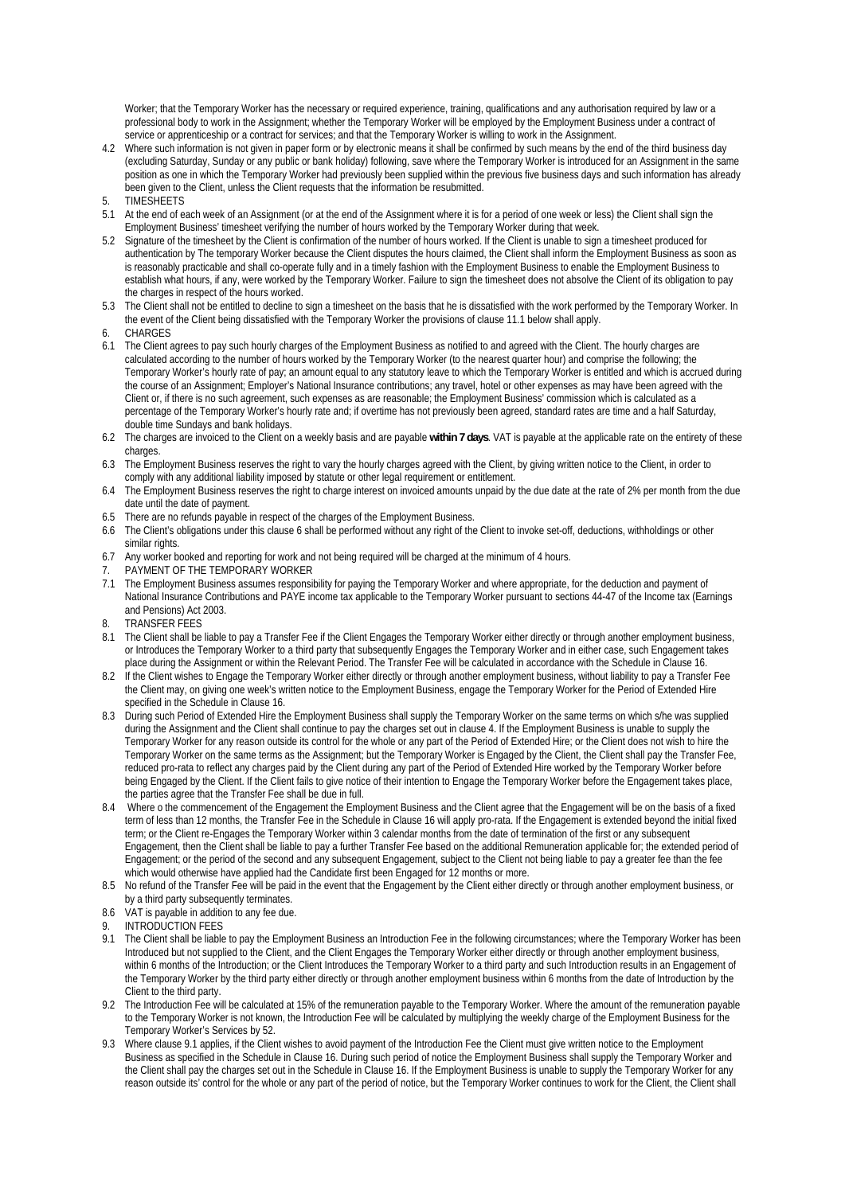Worker; that the Temporary Worker has the necessary or required experience, training, qualifications and any authorisation required by law or a professional body to work in the Assignment; whether the Temporary Worker will be employed by the Employment Business under a contract of service or apprenticeship or a contract for services; and that the Temporary Worker is willing to work in the Assignment.

- 4.2 Where such information is not given in paper form or by electronic means it shall be confirmed by such means by the end of the third business day (excluding Saturday, Sunday or any public or bank holiday) following, save where the Temporary Worker is introduced for an Assignment in the same position as one in which the Temporary Worker had previously been supplied within the previous five business days and such information has already been given to the Client, unless the Client requests that the information be resubmitted.<br>TIMESHEETS
- 5. TIMESHEETS
- 5.1 At the end of each week of an Assignment (or at the end of the Assignment where it is for a period of one week or less) the Client shall sign the Employment Business' timesheet verifying the number of hours worked by the Temporary Worker during that week.
- 5.2 Signature of the timesheet by the Client is confirmation of the number of hours worked. If the Client is unable to sign a timesheet produced for authentication by The temporary Worker because the Client disputes the hours claimed, the Client shall inform the Employment Business as soon as is reasonably practicable and shall co-operate fully and in a timely fashion with the Employment Business to enable the Employment Business to establish what hours, if any, were worked by the Temporary Worker. Failure to sign the timesheet does not absolve the Client of its obligation to pay the charges in respect of the hours worked.
- 5.3 The Client shall not be entitled to decline to sign a timesheet on the basis that he is dissatisfied with the work performed by the Temporary Worker. In the event of the Client being dissatisfied with the Temporary Worker the provisions of clause 11.1 below shall apply.
- **CHARGES**
- 6.1 The Client agrees to pay such hourly charges of the Employment Business as notified to and agreed with the Client. The hourly charges are calculated according to the number of hours worked by the Temporary Worker (to the nearest quarter hour) and comprise the following; the Temporary Worker's hourly rate of pay; an amount equal to any statutory leave to which the Temporary Worker is entitled and which is accrued during the course of an Assignment; Employer's National Insurance contributions; any travel, hotel or other expenses as may have been agreed with the Client or, if there is no such agreement, such expenses as are reasonable; the Employment Business' commission which is calculated as a percentage of the Temporary Worker's hourly rate and; if overtime has not previously been agreed, standard rates are time and a half Saturday, double time Sundays and bank holidays.
- 6.2 The charges are invoiced to the Client on a weekly basis and are payable **within 7 days**. VAT is payable at the applicable rate on the entirety of these charges
- 6.3 The Employment Business reserves the right to vary the hourly charges agreed with the Client, by giving written notice to the Client, in order to comply with any additional liability imposed by statute or other legal requirement or entitlement.
- 6.4 The Employment Business reserves the right to charge interest on invoiced amounts unpaid by the due date at the rate of 2% per month from the due date until the date of payment.
- 6.5 There are no refunds payable in respect of the charges of the Employment Business.
- 6.6 The Client's obligations under this clause 6 shall be performed without any right of the Client to invoke set-off, deductions, withholdings or other similar rights.
- 6.7 Any worker booked and reporting for work and not being required will be charged at the minimum of 4 hours.
- 7. PAYMENT OF THE TEMPORARY WORKER
- 7.1 The Employment Business assumes responsibility for paying the Temporary Worker and where appropriate, for the deduction and payment of National Insurance Contributions and PAYE income tax applicable to the Temporary Worker pursuant to sections 44-47 of the Income tax (Earnings and Pensions) Act 2003.
- 8. TRANSFER FEES
- 8.1 The Client shall be liable to pay a Transfer Fee if the Client Engages the Temporary Worker either directly or through another employment business, or Introduces the Temporary Worker to a third party that subsequently Engages the Temporary Worker and in either case, such Engagement takes place during the Assignment or within the Relevant Period. The Transfer Fee will be calculated in accordance with the Schedule in Clause 16.
- 8.2 If the Client wishes to Engage the Temporary Worker either directly or through another employment business, without liability to pay a Transfer Fee the Client may, on giving one week's written notice to the Employment Business, engage the Temporary Worker for the Period of Extended Hire specified in the Schedule in Clause 16.
- 8.3 During such Period of Extended Hire the Employment Business shall supply the Temporary Worker on the same terms on which s/he was supplied during the Assignment and the Client shall continue to pay the charges set out in clause 4. If the Employment Business is unable to supply the Temporary Worker for any reason outside its control for the whole or any part of the Period of Extended Hire; or the Client does not wish to hire the Temporary Worker on the same terms as the Assignment; but the Temporary Worker is Engaged by the Client, the Client shall pay the Transfer Fee, reduced pro-rata to reflect any charges paid by the Client during any part of the Period of Extended Hire worked by the Temporary Worker before being Engaged by the Client. If the Client fails to give notice of their intention to Engage the Temporary Worker before the Engagement takes place, the parties agree that the Transfer Fee shall be due in full.
- 8.4 Where o the commencement of the Engagement the Employment Business and the Client agree that the Engagement will be on the basis of a fixed term of less than 12 months, the Transfer Fee in the Schedule in Clause 16 will apply pro-rata. If the Engagement is extended beyond the initial fixed term; or the Client re-Engages the Temporary Worker within 3 calendar months from the date of termination of the first or any subsequent Engagement, then the Client shall be liable to pay a further Transfer Fee based on the additional Remuneration applicable for; the extended period of Engagement; or the period of the second and any subsequent Engagement, subject to the Client not being liable to pay a greater fee than the fee which would otherwise have applied had the Candidate first been Engaged for 12 months or more.
- 8.5 No refund of the Transfer Fee will be paid in the event that the Engagement by the Client either directly or through another employment business, or by a third party subsequently terminates.
- 8.6 VAT is payable in addition to any fee due.
- INTRODUCTION FEES
- 9.1 The Client shall be liable to pay the Employment Business an Introduction Fee in the following circumstances; where the Temporary Worker has been Introduced but not supplied to the Client, and the Client Engages the Temporary Worker either directly or through another employment business, within 6 months of the Introduction; or the Client Introduces the Temporary Worker to a third party and such Introduction results in an Engagement of the Temporary Worker by the third party either directly or through another employment business within 6 months from the date of Introduction by the Client to the third party.
- 9.2 The Introduction Fee will be calculated at 15% of the remuneration payable to the Temporary Worker. Where the amount of the remuneration payable to the Temporary Worker is not known, the Introduction Fee will be calculated by multiplying the weekly charge of the Employment Business for the Temporary Worker's Services by 52.
- 9.3 Where clause 9.1 applies, if the Client wishes to avoid payment of the Introduction Fee the Client must give written notice to the Employment Business as specified in the Schedule in Clause 16. During such period of notice the Employment Business shall supply the Temporary Worker and the Client shall pay the charges set out in the Schedule in Clause 16. If the Employment Business is unable to supply the Temporary Worker for any reason outside its' control for the whole or any part of the period of notice, but the Temporary Worker continues to work for the Client, the Client shall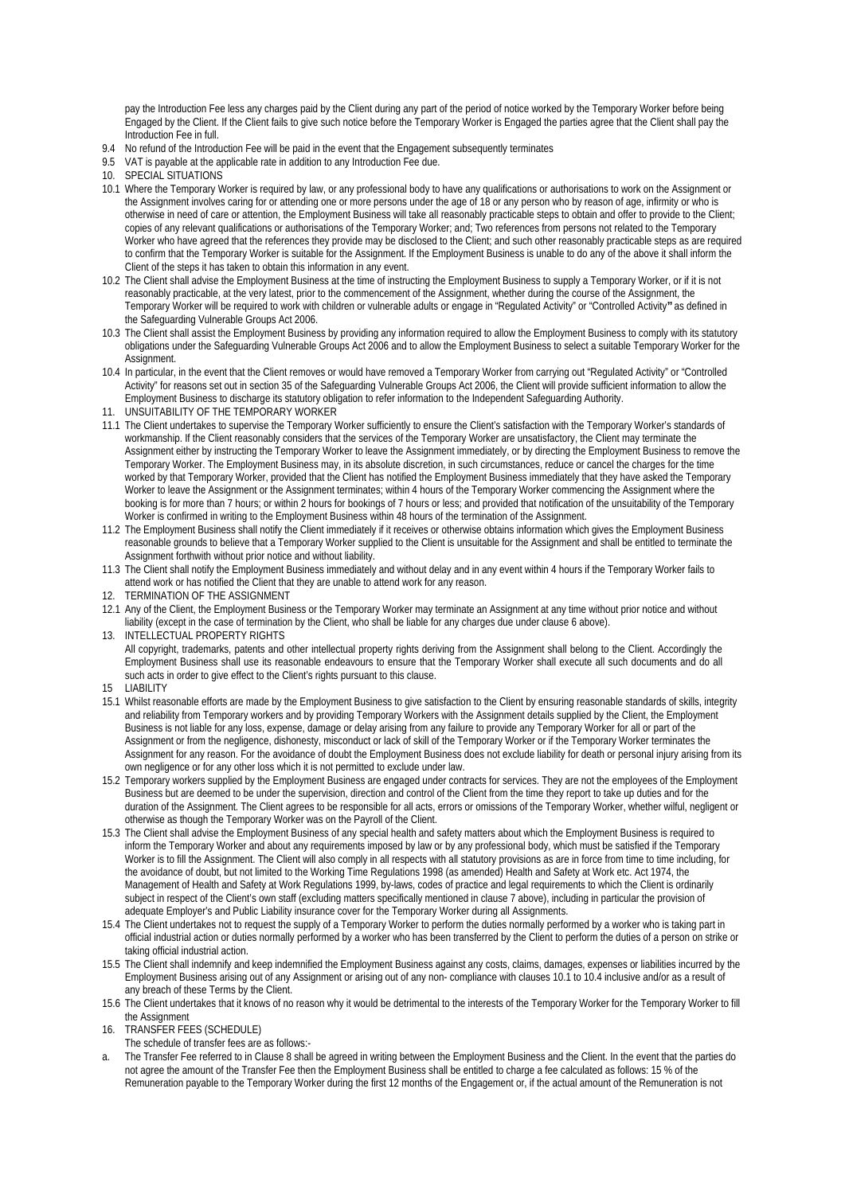pay the Introduction Fee less any charges paid by the Client during any part of the period of notice worked by the Temporary Worker before being Engaged by the Client. If the Client fails to give such notice before the Temporary Worker is Engaged the parties agree that the Client shall pay the Introduction Fee in full.

- 9.4 No refund of the Introduction Fee will be paid in the event that the Engagement subsequently terminates
- 9.5 VAT is payable at the applicable rate in addition to any Introduction Fee due.
- 10. SPECIAL SITUATIONS
- 10.1 Where the Temporary Worker is required by law, or any professional body to have any qualifications or authorisations to work on the Assignment or the Assignment involves caring for or attending one or more persons under the age of 18 or any person who by reason of age, infirmity or who is otherwise in need of care or attention, the Employment Business will take all reasonably practicable steps to obtain and offer to provide to the Client; copies of any relevant qualifications or authorisations of the Temporary Worker; and; Two references from persons not related to the Temporary Worker who have agreed that the references they provide may be disclosed to the Client; and such other reasonably practicable steps as are required to confirm that the Temporary Worker is suitable for the Assignment. If the Employment Business is unable to do any of the above it shall inform the Client of the steps it has taken to obtain this information in any event.
- 10.2 The Client shall advise the Employment Business at the time of instructing the Employment Business to supply a Temporary Worker, or if it is not reasonably practicable, at the very latest, prior to the commencement of the Assignment, whether during the course of the Assignment, the Temporary Worker will be required to work with children or vulnerable adults or engage in "Regulated Activity" or "Controlled Activity**"** as defined in the Safeguarding Vulnerable Groups Act 2006.
- 10.3 The Client shall assist the Employment Business by providing any information required to allow the Employment Business to comply with its statutory obligations under the Safeguarding Vulnerable Groups Act 2006 and to allow the Employment Business to select a suitable Temporary Worker for the Assignment.
- 10.4 In particular, in the event that the Client removes or would have removed a Temporary Worker from carrying out "Regulated Activity" or "Controlled Activity" for reasons set out in section 35 of the Safeguarding Vulnerable Groups Act 2006, the Client will provide sufficient information to allow the Employment Business to discharge its statutory obligation to refer information to the Independent Safeguarding Authority.
- 11. UNSUITABILITY OF THE TEMPORARY WORKER
- 11.1 The Client undertakes to supervise the Temporary Worker sufficiently to ensure the Client's satisfaction with the Temporary Worker's standards of workmanship. If the Client reasonably considers that the services of the Temporary Worker are unsatisfactory, the Client may terminate the Assignment either by instructing the Temporary Worker to leave the Assignment immediately, or by directing the Employment Business to remove the Temporary Worker. The Employment Business may, in its absolute discretion, in such circumstances, reduce or cancel the charges for the time worked by that Temporary Worker, provided that the Client has notified the Employment Business immediately that they have asked the Temporary Worker to leave the Assignment or the Assignment terminates; within 4 hours of the Temporary Worker commencing the Assignment where the booking is for more than 7 hours; or within 2 hours for bookings of 7 hours or less; and provided that notification of the unsuitability of the Temporary Worker is confirmed in writing to the Employment Business within 48 hours of the termination of the Assignment.
- 11.2 The Employment Business shall notify the Client immediately if it receives or otherwise obtains information which gives the Employment Business reasonable grounds to believe that a Temporary Worker supplied to the Client is unsuitable for the Assignment and shall be entitled to terminate the Assignment forthwith without prior notice and without liability.
- 11.3 The Client shall notify the Employment Business immediately and without delay and in any event within 4 hours if the Temporary Worker fails to attend work or has notified the Client that they are unable to attend work for any reason.
- 12. TERMINATION OF THE ASSIGNMENT
- 12.1 Any of the Client, the Employment Business or the Temporary Worker may terminate an Assignment at any time without prior notice and without liability (except in the case of termination by the Client, who shall be liable for any charges due under clause 6 above).
- 13. INTELLECTUAL PROPERTY RIGHTS All copyright, trademarks, patents and other intellectual property rights deriving from the Assignment shall belong to the Client. Accordingly the Employment Business shall use its reasonable endeavours to ensure that the Temporary Worker shall execute all such documents and do all such acts in order to give effect to the Client's rights pursuant to this clause.
- 15 LIABILITY
- 15.1 Whilst reasonable efforts are made by the Employment Business to give satisfaction to the Client by ensuring reasonable standards of skills, integrity and reliability from Temporary workers and by providing Temporary Workers with the Assignment details supplied by the Client, the Employment Business is not liable for any loss, expense, damage or delay arising from any failure to provide any Temporary Worker for all or part of the Assignment or from the negligence, dishonesty, misconduct or lack of skill of the Temporary Worker or if the Temporary Worker terminates the Assignment for any reason. For the avoidance of doubt the Employment Business does not exclude liability for death or personal injury arising from its own negligence or for any other loss which it is not permitted to exclude under law.
- 15.2 Temporary workers supplied by the Employment Business are engaged under contracts for services. They are not the employees of the Employment Business but are deemed to be under the supervision, direction and control of the Client from the time they report to take up duties and for the duration of the Assignment. The Client agrees to be responsible for all acts, errors or omissions of the Temporary Worker, whether wilful, negligent or otherwise as though the Temporary Worker was on the Payroll of the Client.
- 15.3 The Client shall advise the Employment Business of any special health and safety matters about which the Employment Business is required to inform the Temporary Worker and about any requirements imposed by law or by any professional body, which must be satisfied if the Temporary Worker is to fill the Assignment. The Client will also comply in all respects with all statutory provisions as are in force from time to time including, for the avoidance of doubt, but not limited to the Working Time Regulations 1998 (as amended) Health and Safety at Work etc. Act 1974, the Management of Health and Safety at Work Regulations 1999, by-laws, codes of practice and legal requirements to which the Client is ordinarily subject in respect of the Client's own staff (excluding matters specifically mentioned in clause 7 above), including in particular the provision of adequate Employer's and Public Liability insurance cover for the Temporary Worker during all Assignments.
- 15.4 The Client undertakes not to request the supply of a Temporary Worker to perform the duties normally performed by a worker who is taking part in official industrial action or duties normally performed by a worker who has been transferred by the Client to perform the duties of a person on strike or taking official industrial action.
- 15.5 The Client shall indemnify and keep indemnified the Employment Business against any costs, claims, damages, expenses or liabilities incurred by the Employment Business arising out of any Assignment or arising out of any non- compliance with clauses 10.1 to 10.4 inclusive and/or as a result of any breach of these Terms by the Client.
- 15.6 The Client undertakes that it knows of no reason why it would be detrimental to the interests of the Temporary Worker for the Temporary Worker to fill the Assignment
- 16. TRANSFER FEES (SCHEDULE)
	- The schedule of transfer fees are as follows:-
- a. The Transfer Fee referred to in Clause 8 shall be agreed in writing between the Employment Business and the Client. In the event that the parties do not agree the amount of the Transfer Fee then the Employment Business shall be entitled to charge a fee calculated as follows: 15 % of the Remuneration payable to the Temporary Worker during the first 12 months of the Engagement or, if the actual amount of the Remuneration is not